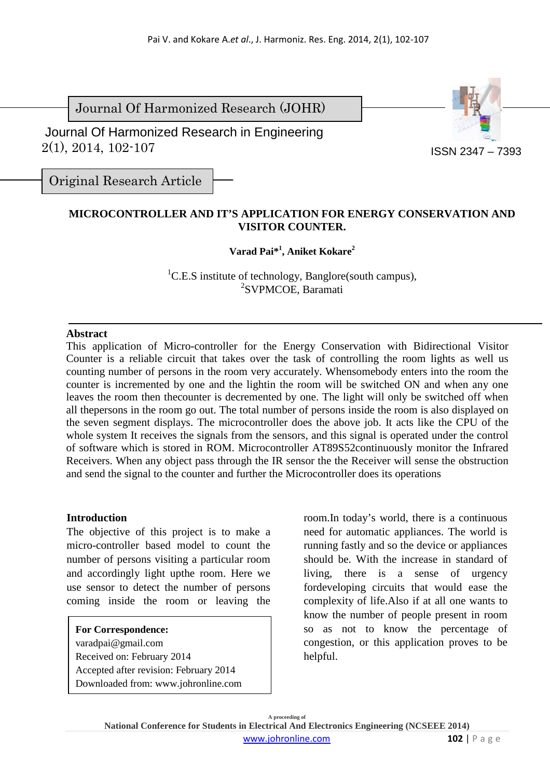Journal Of Harmonized Research (JOHR)

 2(1), 2014, 102-107 Journal Of Harmonized Research in Engineering



ISSN 2347 – 7393

Original Research Article

## **MICROCONTROLLER AND IT'S APPLICATION FOR ENERGY CONSERVATION AND VISITOR COUNTER.**

# **Varad Pai\*<sup>1</sup> , Aniket Kokare<sup>2</sup>**

<sup>1</sup>C.E.S institute of technology, Banglore(south campus), 2 SVPMCOE, Baramati

## **Abstract**

This application of Micro-controller for the Energy Conservation with Bidirectional Visitor Counter is a reliable circuit that takes over the task of controlling the room lights as well us counting number of persons in the room very accurately. Whensomebody enters into the room the counter is incremented by one and the lightin the room will be switched ON and when any one leaves the room then thecounter is decremented by one. The light will only be switched off when all thepersons in the room go out. The total number of persons inside the room is also displayed on the seven segment displays. The microcontroller does the above job. It acts like the CPU of the whole system It receives the signals from the sensors, and this signal is operated under the control of software which is stored in ROM. Microcontroller AT89S52continuously monitor the Infrared Receivers. When any object pass through the IR sensor the the Receiver will sense the obstruction and send the signal to the counter and further the Microcontroller does its operations

## **Introduction**

The objective of this project is to make a micro-controller based model to count the number of persons visiting a particular room and accordingly light upthe room. Here we use sensor to detect the number of persons coming inside the room or leaving the

**For Correspondence:**  varadpai@gmail.com Received on: February 2014 Accepted after revision: February 2014 Downloaded from: www.johronline.com room.In today's world, there is a continuous need for automatic appliances. The world is running fastly and so the device or appliances should be. With the increase in standard of living, there is a sense of urgency fordeveloping circuits that would ease the complexity of life.Also if at all one wants to know the number of people present in room so as not to know the percentage of congestion, or this application proves to be helpful.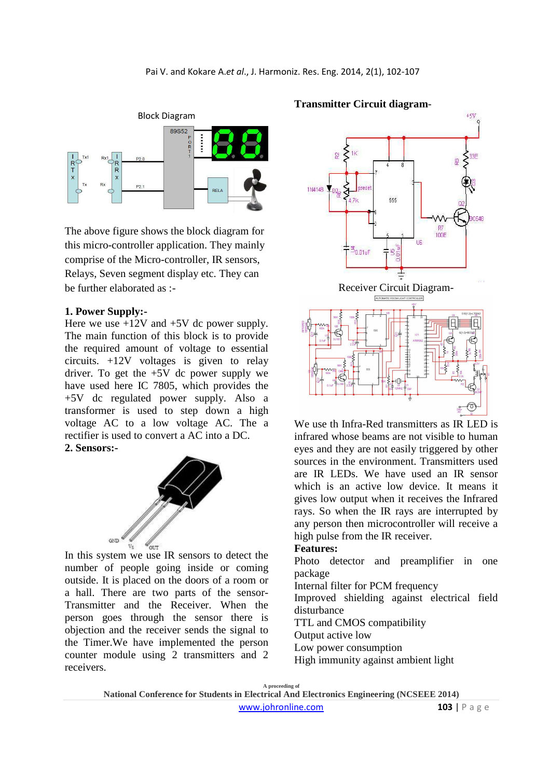

The above figure shows the block diagram for this micro-controller application. They mainly comprise of the Micro-controller, IR sensors, Relays, Seven segment display etc. They can be further elaborated as :-

#### **1. Power Supply:-**

Here we use  $+12V$  and  $+5V$  dc power supply. The main function of this block is to provide the required amount of voltage to essential circuits. +12V voltages is given to relay driver. To get the +5V dc power supply we have used here IC 7805, which provides the +5V dc regulated power supply. Also a transformer is used to step down a high voltage AC to a low voltage AC. The a rectifier is used to convert a AC into a DC. **2. Sensors:-**



In this system we use IR sensors to detect the number of people going inside or coming outside. It is placed on the doors of a room or a hall. There are two parts of the sensor-Transmitter and the Receiver. When the person goes through the sensor there is objection and the receiver sends the signal to the Timer.We have implemented the person counter module using 2 transmitters and 2 receivers.





We use th Infra-Red transmitters as IR LED is infrared whose beams are not visible to human eyes and they are not easily triggered by other sources in the environment. Transmitters used are IR LEDs. We have used an IR sensor which is an active low device. It means it gives low output when it receives the Infrared rays. So when the IR rays are interrupted by any person then microcontroller will receive a high pulse from the IR receiver.

### **Features:**

Photo detector and preamplifier in one package

Internal filter for PCM frequency

Improved shielding against electrical field disturbance

TTL and CMOS compatibility

Output active low

Low power consumption

High immunity against ambient light

**A proceeding of** 

**National Conference for Students in Electrical And Electronics Engineering (NCSEEE 2014)**  www.johronline.com **103** | P a g e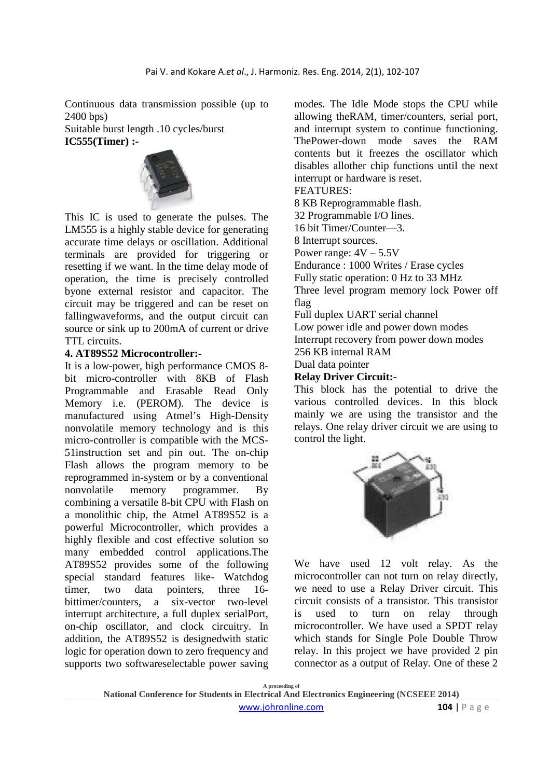Continuous data transmission possible (up to 2400 bps)

Suitable burst length .10 cycles/burst **IC555(Timer) :-** 



This IC is used to generate the pulses. The LM555 is a highly stable device for generating accurate time delays or oscillation. Additional terminals are provided for triggering or resetting if we want. In the time delay mode of operation, the time is precisely controlled byone external resistor and capacitor. The circuit may be triggered and can be reset on fallingwaveforms, and the output circuit can source or sink up to 200mA of current or drive TTL circuits.

### **4. AT89S52 Microcontroller:-**

It is a low-power, high performance CMOS 8 bit micro-controller with 8KB of Flash Programmable and Erasable Read Only Memory i.e. (PEROM). The device is manufactured using Atmel's High-Density nonvolatile memory technology and is this micro-controller is compatible with the MCS-51instruction set and pin out. The on-chip Flash allows the program memory to be reprogrammed in-system or by a conventional nonvolatile memory programmer. By combining a versatile 8-bit CPU with Flash on a monolithic chip, the Atmel AT89S52 is a powerful Microcontroller, which provides a highly flexible and cost effective solution so many embedded control applications.The AT89S52 provides some of the following special standard features like- Watchdog timer, two data pointers, three 16 bittimer/counters, a six-vector two-level interrupt architecture, a full duplex serialPort, on-chip oscillator, and clock circuitry. In addition, the AT89S52 is designedwith static logic for operation down to zero frequency and supports two softwareselectable power saving modes. The Idle Mode stops the CPU while allowing theRAM, timer/counters, serial port, and interrupt system to continue functioning. ThePower-down mode saves the RAM contents but it freezes the oscillator which disables allother chip functions until the next interrupt or hardware is reset. FEATURES: 8 KB Reprogrammable flash. 32 Programmable I/O lines. 16 bit Timer/Counter—3. 8 Interrupt sources. Power range:  $4V - 5.5V$ Endurance : 1000 Writes / Erase cycles Fully static operation: 0 Hz to 33 MHz Three level program memory lock Power off flag Full duplex UART serial channel Low power idle and power down modes Interrupt recovery from power down modes 256 KB internal RAM

Dual data pointer

## **Relay Driver Circuit:-**

This block has the potential to drive the various controlled devices. In this block mainly we are using the transistor and the relays. One relay driver circuit we are using to control the light.



We have used 12 volt relay. As the microcontroller can not turn on relay directly, we need to use a Relay Driver circuit. This circuit consists of a transistor. This transistor is used to turn on relay through microcontroller. We have used a SPDT relay which stands for Single Pole Double Throw relay. In this project we have provided 2 pin connector as a output of Relay. One of these 2

**A proceeding of National Conference for Students in Electrical And Electronics Engineering (NCSEEE 2014)**  www.johronline.com **104** | P a g e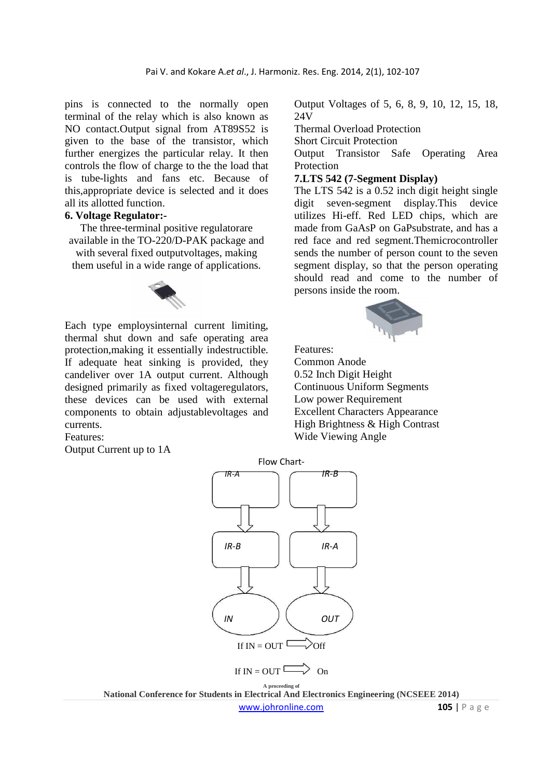pins is connected to the normally open terminal of the relay which is also known as NO contact.Output signal from AT89S52 is given to the base of the transistor, which further energizes the particular relay. It then controls the flow of charge to the the load that is tube-lights and fans etc. Because of this,appropriate device is selected and it does all its allotted function.

### **6. Voltage Regulator:-**

The three-terminal positive regulatorare available in the TO-220/D-PAK package and with several fixed outputvoltages, making them useful in a wide range of applications.



Each type employsinternal current limiting, thermal shut down and safe operating area protection,making it essentially indestructible. If adequate heat sinking is provided, they candeliver over 1A output current. Although designed primarily as fixed voltageregulators, these devices can be used with external components to obtain adjustablevoltages and currents.

Features:

Output Current up to 1A

Output Voltages of 5, 6, 8, 9, 10, 12, 15, 18, 24V

Thermal Overload Protection

Short Circuit Protection

Output Transistor Safe Operating Area Protection

#### **7.LTS 542 (7-Segment Display)**

The LTS 542 is a 0.52 inch digit height single digit seven-segment display.This device utilizes Hi-eff. Red LED chips, which are made from GaAsP on GaPsubstrate, and has a red face and red segment.Themicrocontroller sends the number of person count to the seven segment display, so that the person operating should read and come to the number of persons inside the room.



Features: Common Anode 0.52 Inch Digit Height Continuous Uniform Segments Low power Requirement Excellent Characters Appearance High Brightness & High Contrast Wide Viewing Angle



**National Conference for Students in Electrical And Electronics Engineering (NCSEEE 2014)**  www.johronline.com **105** | P a g e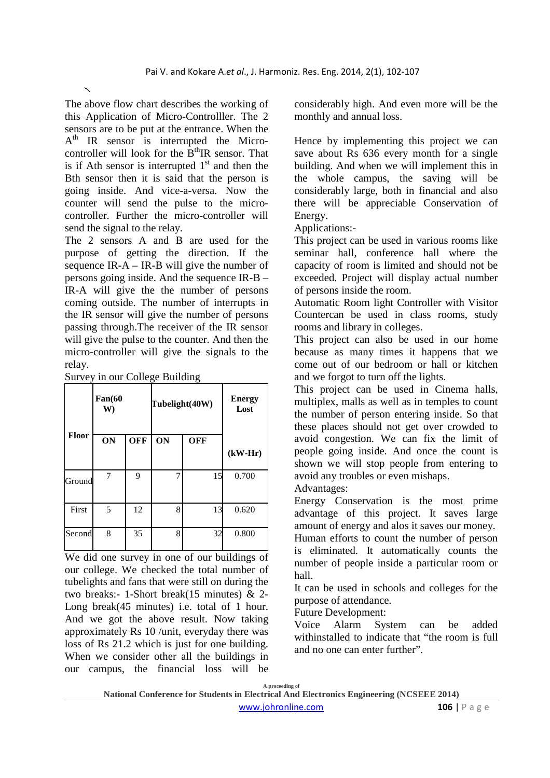The above flow chart describes the working of this Application of Micro-Controlller. The 2 sensors are to be put at the entrance. When the A<sup>th</sup> IR sensor is interrupted the Microcontroller will look for the  $B<sup>th</sup>IR$  sensor. That is if Ath sensor is interrupted  $1<sup>st</sup>$  and then the Bth sensor then it is said that the person is going inside. And vice-a-versa. Now the counter will send the pulse to the microcontroller. Further the micro-controller will send the signal to the relay.

The 2 sensors A and B are used for the purpose of getting the direction. If the sequence IR-A – IR-B will give the number of persons going inside. And the sequence IR-B – IR-A will give the the number of persons coming outside. The number of interrupts in the IR sensor will give the number of persons passing through.The receiver of the IR sensor will give the pulse to the counter. And then the micro-controller will give the signals to the relay.

Survey in our College Building

|              | Fan(60)<br>W) |            | Tubelight(40W) |            | <b>Energy</b><br>Lost |
|--------------|---------------|------------|----------------|------------|-----------------------|
| <b>Floor</b> | ON            | <b>OFF</b> | ON             | <b>OFF</b> | $(kW-Hr)$             |
| Ground       | 7             | 9          | 7              | 15         | 0.700                 |
| First        | 5             | 12         | 8              | 13         | 0.620                 |
| Second       | 8             | 35         | 8              | 32         | 0.800                 |

We did one survey in one of our buildings of our college. We checked the total number of tubelights and fans that were still on during the two breaks:- 1-Short break(15 minutes) & 2- Long break(45 minutes) i.e. total of 1 hour. And we got the above result. Now taking approximately Rs 10 /unit, everyday there was loss of Rs 21.2 which is just for one building. When we consider other all the buildings in our campus, the financial loss will be considerably high. And even more will be the monthly and annual loss.

Hence by implementing this project we can save about Rs 636 every month for a single building. And when we will implement this in the whole campus, the saving will be considerably large, both in financial and also there will be appreciable Conservation of Energy.

Applications:-

This project can be used in various rooms like seminar hall, conference hall where the capacity of room is limited and should not be exceeded. Project will display actual number of persons inside the room.

Automatic Room light Controller with Visitor Countercan be used in class rooms, study rooms and library in colleges.

This project can also be used in our home because as many times it happens that we come out of our bedroom or hall or kitchen and we forgot to turn off the lights.

This project can be used in Cinema halls, multiplex, malls as well as in temples to count the number of person entering inside. So that these places should not get over crowded to avoid congestion. We can fix the limit of people going inside. And once the count is shown we will stop people from entering to avoid any troubles or even mishaps.

Advantages:

Energy Conservation is the most prime advantage of this project. It saves large amount of energy and alos it saves our money.

Human efforts to count the number of person is eliminated. It automatically counts the number of people inside a particular room or hall.

It can be used in schools and colleges for the purpose of attendance.

Future Development:

Voice Alarm System can be added withinstalled to indicate that "the room is full and no one can enter further".

**A proceeding of** 

**National Conference for Students in Electrical And Electronics Engineering (NCSEEE 2014)**